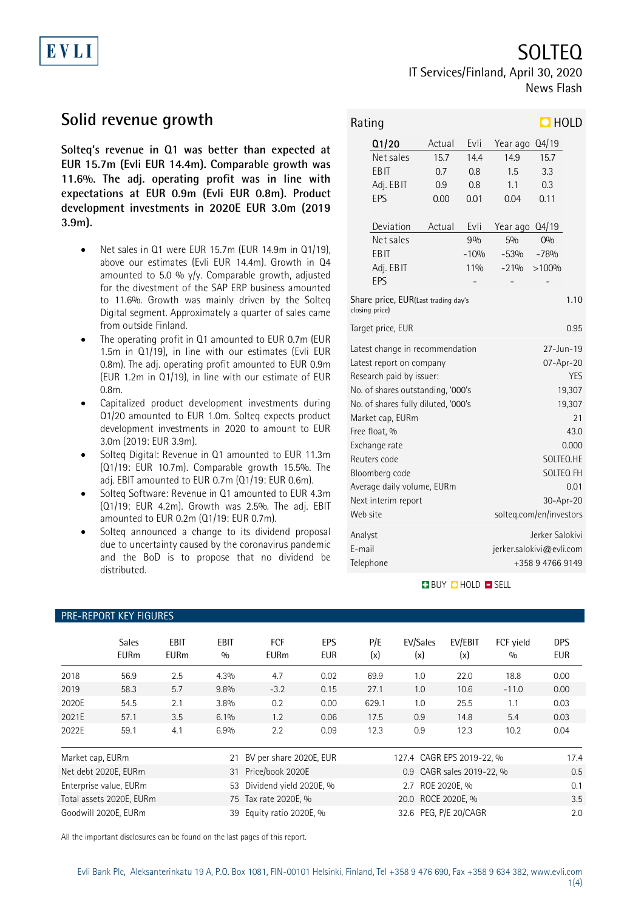# EVLI

SOLTEQ IT Services/Finland, April 30, 2020 News Flash

Q1/20 Actual Evli Year ago Q4/19

### **Solid revenue growth**

**Solteq's revenue in Q1 was better than expected at EUR 15.7m (Evli EUR 14.4m). Comparable growth was 11.6%. The adj. operating profit was in line with expectations at EUR 0.9m (Evli EUR 0.8m). Product development investments in 2020E EUR 3.0m (2019 3.9m).**

- Net sales in Q1 were EUR 15.7m (EUR 14.9m in Q1/19), above our estimates (Evli EUR 14.4m). Growth in Q4 amounted to 5.0 %  $y/y$ . Comparable growth, adjusted for the divestment of the SAP ERP business amounted to 11.6%. Growth was mainly driven by the Solteq Digital segment. Approximately a quarter of sales came from outside Finland.
- The operating profit in Q1 amounted to EUR 0.7m (EUR 1.5m in Q1/19), in line with our estimates (Evli EUR 0.8m). The adj. operating profit amounted to EUR 0.9m (EUR 1.2m in Q1/19), in line with our estimate of EUR 0.8m.
- Capitalized product development investments during Q1/20 amounted to EUR 1.0m. Solteq expects product development investments in 2020 to amount to EUR 3.0m (2019: EUR 3.9m).
- Solteq Digital: Revenue in Q1 amounted to EUR 11.3m (Q1/19: EUR 10.7m). Comparable growth 15.5%. The adj. EBIT amounted to EUR 0.7m (Q1/19: EUR 0.6m).
- Solteq Software: Revenue in Q1 amounted to EUR 4.3m (Q1/19: EUR 4.2m). Growth was 2.5%. The adj. EBIT amounted to EUR 0.2m (Q1/19: EUR 0.7m).
- Solteq announced a change to its dividend proposal due to uncertainty caused by the coronavirus pandemic and the BoD is to propose that no dividend be distributed.

Net sales 15.7 14.4 14.9 15.7 EBIT 0.7 0.8 1.5 3.3 Adj. EBIT 0.9 0.8 1.1 0.3 EPS 0.00 0.01 0.04 0.11 Deviation Actual Evli Year ago Q4/19 Net sales 9 % 5% 0% EBIT -10% -53% -78% Adj. EBIT 11% -21% >100%  $EPS$  - - - - - - -Share price, EUR(Last trading day's closing price) 1.10 Target price, EUR 0.95 Latest change in recommendation 27-Jun-19 Latest report on company and the company of  $O7$ -Apr-20 Research paid by issuer: YES No. of shares outstanding, '000's 19,307 No. of shares fully diluted, '000's 19,307 Market cap, EURm 21 Free float, % 43.0 Exchange rate 0.000 Reuters code SOLTEQ.HE Bloomberg code SOLTEQ FH Average daily volume, EURm 0.01 Next interim report 30-Apr-20 Web site solteq.com/en/investors Analyst **Analyst** Jerker Salokivi E-mail jerker.salokivi@evli.com

### **BUY Q HOLD O SELL**

Telephone +358 9 4766 9149

|                              | <b>PRE-REPORT KEY FIGURES</b> |                            |                    |                           |                   |                           |                     |                |                  |                          |
|------------------------------|-------------------------------|----------------------------|--------------------|---------------------------|-------------------|---------------------------|---------------------|----------------|------------------|--------------------------|
|                              | <b>Sales</b><br><b>EURm</b>   | <b>EBIT</b><br><b>EURm</b> | <b>EBIT</b><br>0/0 | <b>FCF</b><br><b>EURm</b> | EPS<br><b>EUR</b> | P/E<br>(x)                | EV/Sales<br>(x)     | EV/EBIT<br>(x) | FCF vield<br>0/0 | <b>DPS</b><br><b>EUR</b> |
| 2018                         | 56.9                          | 2.5                        | 4.3%               | 4.7                       | 0.02              | 69.9                      | 1.0                 | 22.0           | 18.8             | 0.00                     |
| 2019                         | 58.3                          | 5.7                        | $9.8\%$            | $-3.2$                    | 0.15              | 27.1                      | 1.0                 | 10.6           | $-11.0$          | 0.00                     |
| 2020E                        | 54.5                          | 2.1                        | $3.8\%$            | 0.2                       | 0.00              | 629.1                     | 1.0                 | 25.5           | 1.1              | 0.03                     |
| 2021E                        | 57.1                          | 3.5                        | 6.1%               | 1.2                       | 0.06              | 17.5                      | 0.9                 | 14.8           | 5.4              | 0.03                     |
| 2022E                        | 59.1                          | 4.1                        | 6.9%               | 2.2                       | 0.09              | 12.3                      | 0.9                 | 12.3           | 10.2             | 0.04                     |
| Market cap, EURm<br>21       |                               |                            |                    | BV per share 2020E, EUR   |                   | 127.4 CAGR EPS 2019-22, % |                     |                |                  | 17.4                     |
| Net debt 2020E, EURm<br>31   |                               |                            |                    | Price/book 2020E          |                   | 0.9 CAGR sales 2019-22, % |                     |                |                  | 0.5                      |
| Enterprise value, EURm<br>53 |                               |                            |                    | Dividend yield 2020E, %   |                   | 2.7 ROE 2020E, %          |                     |                |                  | 0.1                      |
| Total assets 2020E, EURm     |                               |                            |                    | 75 Tax rate 2020E, %      |                   | 20.0 ROCE 2020E, %        |                     |                |                  | 3.5                      |
| Goodwill 2020F FURm          |                               |                            |                    | 39 Fauity ratio 2020F %   |                   |                           | 326 PFG P/F 20/CAGR |                |                  | 20                       |

All the important disclosures can be found on the last pages of this report.

#### 1(4)

## Rating **HOLD**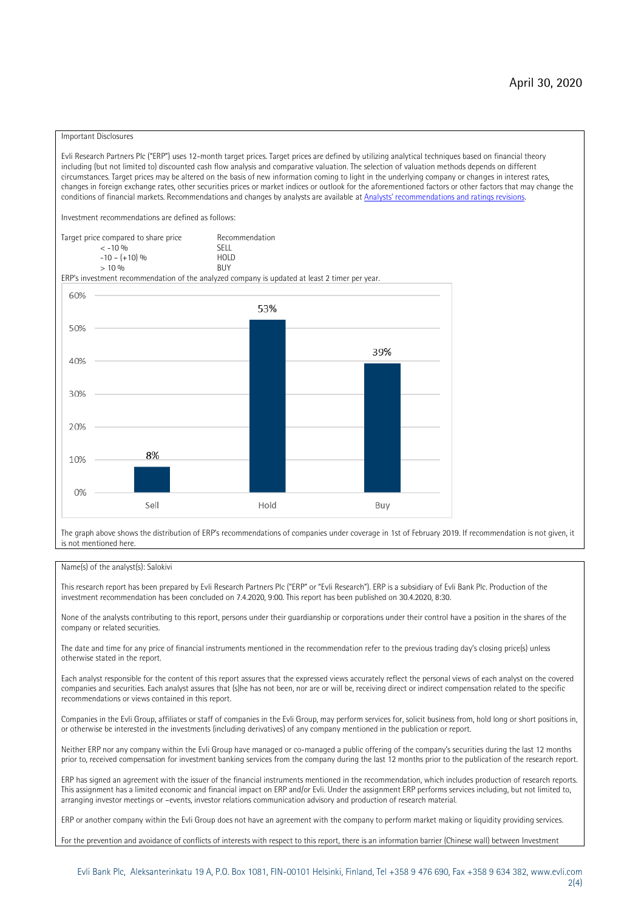#### Important Disclosures

Evli Research Partners Plc ("ERP") uses 12-month target prices. Target prices are defined by utilizing analytical techniques based on financial theory including (but not limited to) discounted cash flow analysis and comparative valuation. The selection of valuation methods depends on different circumstances. Target prices may be altered on the basis of new information coming to light in the underlying company or changes in interest rates, changes in foreign exchange rates, other securities prices or market indices or outlook for the aforementioned factors or other factors that may change the conditions of financial markets. Recommendations and changes by analysts are available at [Analysts' recommendations and ratings revisions](https://research.evli.com/JasperAllModels.action?authParam=key;461&authParam=x;G3rNagWrtf7K&authType=3)

Investment recommendations are defined as follows:

Target price compared to share price Recommendation<br>CELL CALLO 06 < -10 % SELL  $-10 - (+10) \%$  HOLD<br>> 10 % BUY  $> 10\%$ 

ERP's investment recommendation of the analyzed company is updated at least 2 timer per year.



The graph above shows the distribution of ERP's recommendations of companies under coverage in 1st of February 2019. If recommendation is not given, it is not mentioned here.

#### Name(s) of the analyst(s): Salokivi

This research report has been prepared by Evli Research Partners Plc ("ERP" or "Evli Research"). ERP is a subsidiary of Evli Bank Plc. Production of the investment recommendation has been concluded on 7.4.2020, 9:00. This report has been published on 30.4.2020, 8:30.

None of the analysts contributing to this report, persons under their guardianship or corporations under their control have a position in the shares of the company or related securities.

The date and time for any price of financial instruments mentioned in the recommendation refer to the previous trading day's closing price(s) unless otherwise stated in the report.

Each analyst responsible for the content of this report assures that the expressed views accurately reflect the personal views of each analyst on the covered companies and securities. Each analyst assures that (s)he has not been, nor are or will be, receiving direct or indirect compensation related to the specific recommendations or views contained in this report.

Companies in the Evli Group, affiliates or staff of companies in the Evli Group, may perform services for, solicit business from, hold long or short positions in, or otherwise be interested in the investments (including derivatives) of any company mentioned in the publication or report.

Neither ERP nor any company within the Evli Group have managed or co-managed a public offering of the company's securities during the last 12 months prior to, received compensation for investment banking services from the company during the last 12 months prior to the publication of the research report.

ERP has signed an agreement with the issuer of the financial instruments mentioned in the recommendation, which includes production of research reports. This assignment has a limited economic and financial impact on ERP and/or Evli. Under the assignment ERP performs services including, but not limited to, arranging investor meetings or –events, investor relations communication advisory and production of research material.

ERP or another company within the Evli Group does not have an agreement with the company to perform market making or liquidity providing services.

For the prevention and avoidance of conflicts of interests with respect to this report, there is an information barrier (Chinese wall) between Investment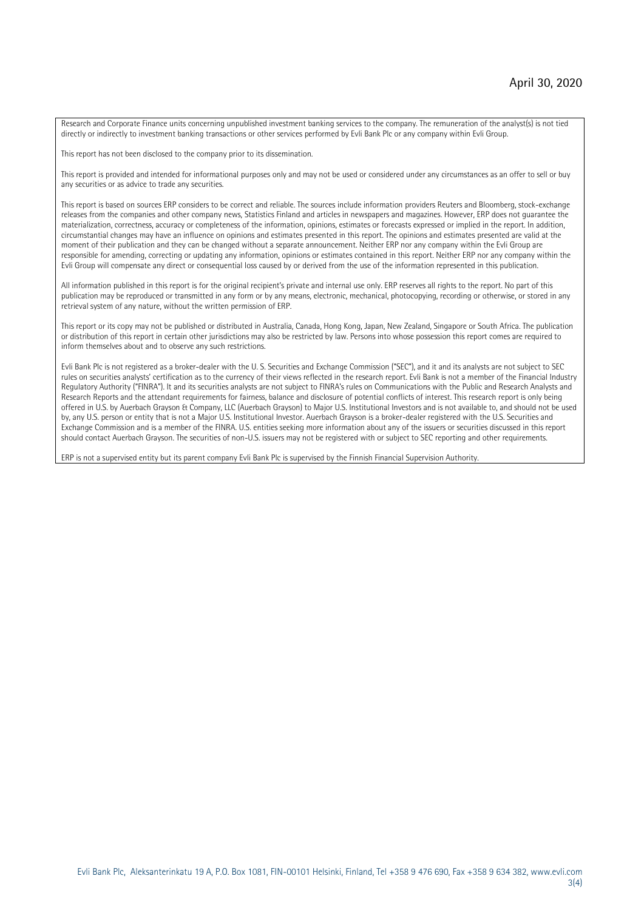Research and Corporate Finance units concerning unpublished investment banking services to the company. The remuneration of the analyst(s) is not tied directly or indirectly to investment banking transactions or other services performed by Evli Bank Plc or any company within Evli Group.

This report has not been disclosed to the company prior to its dissemination.

This report is provided and intended for informational purposes only and may not be used or considered under any circumstances as an offer to sell or buy any securities or as advice to trade any securities.

This report is based on sources ERP considers to be correct and reliable. The sources include information providers Reuters and Bloomberg, stock-exchange releases from the companies and other company news, Statistics Finland and articles in newspapers and magazines. However, ERP does not guarantee the materialization, correctness, accuracy or completeness of the information, opinions, estimates or forecasts expressed or implied in the report. In addition, circumstantial changes may have an influence on opinions and estimates presented in this report. The opinions and estimates presented are valid at the moment of their publication and they can be changed without a separate announcement. Neither ERP nor any company within the Evli Group are responsible for amending, correcting or updating any information, opinions or estimates contained in this report. Neither ERP nor any company within the Evli Group will compensate any direct or consequential loss caused by or derived from the use of the information represented in this publication.

All information published in this report is for the original recipient's private and internal use only. ERP reserves all rights to the report. No part of this publication may be reproduced or transmitted in any form or by any means, electronic, mechanical, photocopying, recording or otherwise, or stored in any retrieval system of any nature, without the written permission of ERP.

This report or its copy may not be published or distributed in Australia, Canada, Hong Kong, Japan, New Zealand, Singapore or South Africa. The publication or distribution of this report in certain other jurisdictions may also be restricted by law. Persons into whose possession this report comes are required to inform themselves about and to observe any such restrictions.

Evli Bank Plc is not registered as a broker-dealer with the U. S. Securities and Exchange Commission ("SEC"), and it and its analysts are not subject to SEC rules on securities analysts' certification as to the currency of their views reflected in the research report. Evli Bank is not a member of the Financial Industry Regulatory Authority ("FINRA"). It and its securities analysts are not subject to FINRA's rules on Communications with the Public and Research Analysts and Research Reports and the attendant requirements for fairness, balance and disclosure of potential conflicts of interest. This research report is only being offered in U.S. by Auerbach Grayson & Company, LLC (Auerbach Grayson) to Major U.S. Institutional Investors and is not available to, and should not be used by, any U.S. person or entity that is not a Major U.S. Institutional Investor. Auerbach Grayson is a broker-dealer registered with the U.S. Securities and Exchange Commission and is a member of the FINRA. U.S. entities seeking more information about any of the issuers or securities discussed in this report should contact Auerbach Grayson. The securities of non-U.S. issuers may not be registered with or subject to SEC reporting and other requirements.

ERP is not a supervised entity but its parent company Evli Bank Plc is supervised by the Finnish Financial Supervision Authority.